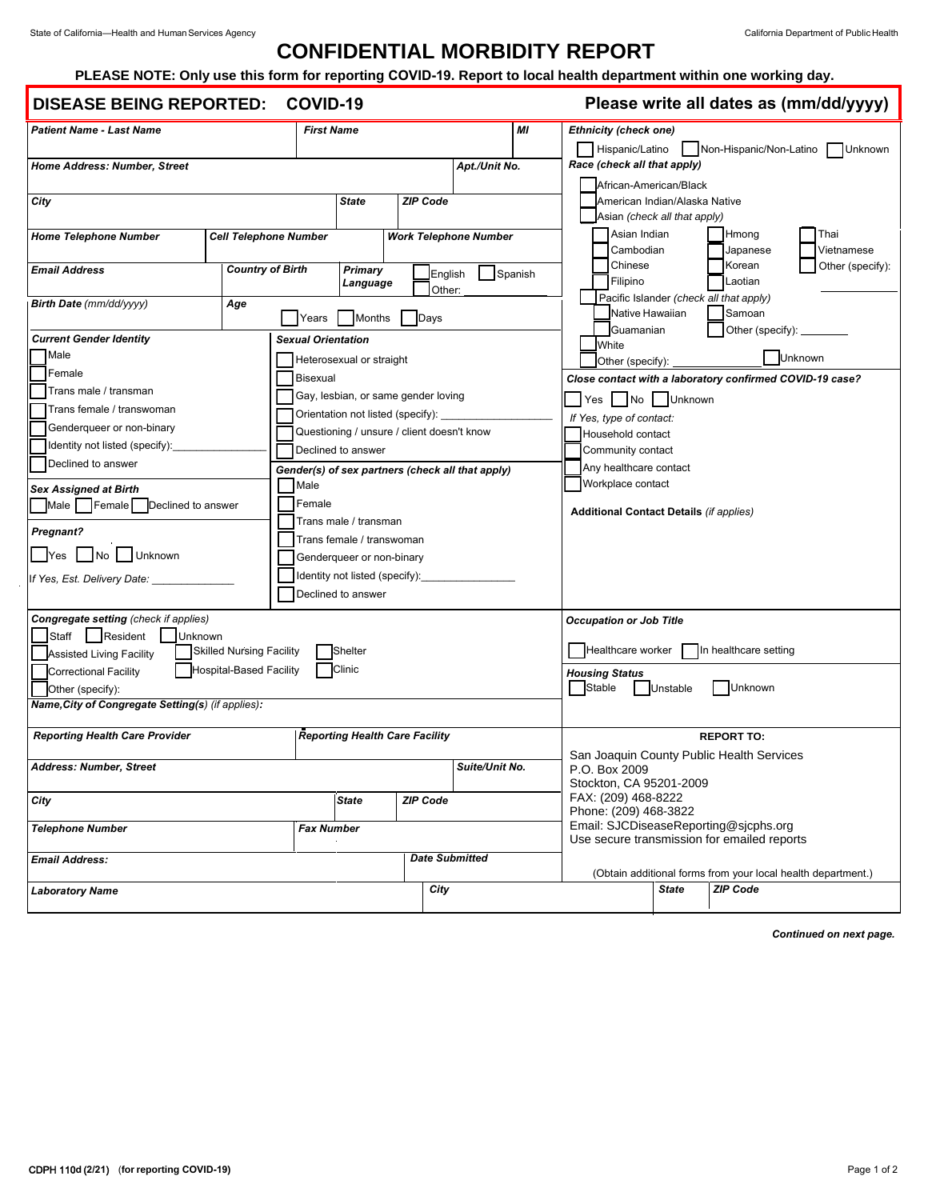## **CONFIDENTIAL MORBIDITY REPORT**

## **PLEASE NOTE: Only use this form for reporting COVID-19. Report to local health department within one working day.**

## **DISEASE BEING REPORTED: COVID-19**

**Please write all dates as (mm/dd/yyyy)**

|                                                                        |                              |                                                                                   |                          |                                       |                                                  |                                                                              |                                                                                       |                                                                |                                           |                               |                                         |            | , , , , , |  |
|------------------------------------------------------------------------|------------------------------|-----------------------------------------------------------------------------------|--------------------------|---------------------------------------|--------------------------------------------------|------------------------------------------------------------------------------|---------------------------------------------------------------------------------------|----------------------------------------------------------------|-------------------------------------------|-------------------------------|-----------------------------------------|------------|-----------|--|
| <b>Patient Name - Last Name</b>                                        |                              | MI<br><b>First Name</b>                                                           |                          |                                       |                                                  |                                                                              | <b>Ethnicity (check one)</b><br>Hispanic/Latino<br>Non-Hispanic/Non-Latino<br>Unknown |                                                                |                                           |                               |                                         |            |           |  |
| Home Address: Number, Street                                           |                              |                                                                                   |                          |                                       | Apt./Unit No.                                    |                                                                              |                                                                                       |                                                                |                                           | Race (check all that apply)   |                                         |            |           |  |
|                                                                        |                              |                                                                                   |                          |                                       |                                                  |                                                                              |                                                                                       |                                                                |                                           | African-American/Black        |                                         |            |           |  |
| City                                                                   |                              |                                                                                   | <b>State</b>             | <b>ZIP Code</b>                       |                                                  |                                                                              |                                                                                       |                                                                |                                           | American Indian/Alaska Native |                                         |            |           |  |
|                                                                        |                              |                                                                                   |                          |                                       |                                                  |                                                                              |                                                                                       |                                                                |                                           | Asian (check all that apply)  |                                         |            |           |  |
| <b>Home Telephone Number</b>                                           | <b>Cell Telephone Number</b> | <b>Work Telephone Number</b>                                                      |                          |                                       |                                                  |                                                                              |                                                                                       |                                                                | Asian Indian                              |                               | Hmong                                   | Thai       |           |  |
|                                                                        |                              |                                                                                   |                          |                                       |                                                  |                                                                              |                                                                                       |                                                                | Cambodian                                 |                               | Japanese                                | Vietnamese |           |  |
| <b>Email Address</b>                                                   |                              | <b>Country of Birth</b><br>Primary                                                |                          |                                       | English<br>Spanish<br>Other:                     |                                                                              |                                                                                       |                                                                | Chinese                                   |                               | Korean<br>Other (specify):              |            |           |  |
|                                                                        |                              | Language                                                                          |                          |                                       |                                                  |                                                                              |                                                                                       |                                                                | Filipino                                  |                               | Laotian                                 |            |           |  |
| Birth Date (mm/dd/yyyy)                                                | Age                          |                                                                                   |                          |                                       |                                                  |                                                                              |                                                                                       |                                                                |                                           |                               | Pacific Islander (check all that apply) |            |           |  |
|                                                                        |                              | Years                                                                             | <b>Months</b>            | Days                                  |                                                  |                                                                              |                                                                                       |                                                                |                                           | Native Hawaiian               | Samoan                                  |            |           |  |
| <b>Current Gender Identity</b><br><b>Sexual Orientation</b>            |                              |                                                                                   |                          |                                       |                                                  |                                                                              | Other (specify): _______<br>Guamanian<br>White                                        |                                                                |                                           |                               |                                         |            |           |  |
| Male                                                                   |                              |                                                                                   | Heterosexual or straight |                                       |                                                  |                                                                              |                                                                                       |                                                                |                                           |                               |                                         | Jnknown    |           |  |
| Female                                                                 | Bisexual                     |                                                                                   |                          |                                       |                                                  | Other (specify):<br>Close contact with a laboratory confirmed COVID-19 case? |                                                                                       |                                                                |                                           |                               |                                         |            |           |  |
| Trans male / transman                                                  |                              |                                                                                   |                          | Gay, lesbian, or same gender loving   |                                                  |                                                                              |                                                                                       |                                                                |                                           |                               |                                         |            |           |  |
| Trans female / transwoman                                              |                              |                                                                                   |                          |                                       |                                                  |                                                                              | Yes   No   Unknown                                                                    |                                                                |                                           |                               |                                         |            |           |  |
| Genderqueer or non-binary                                              |                              | Orientation not listed (specify): _<br>Questioning / unsure / client doesn't know |                          |                                       |                                                  |                                                                              |                                                                                       | If Yes, type of contact:<br>Household contact                  |                                           |                               |                                         |            |           |  |
| Identity not listed (specify):                                         |                              | Declined to answer                                                                |                          |                                       |                                                  |                                                                              | Community contact                                                                     |                                                                |                                           |                               |                                         |            |           |  |
| Declined to answer                                                     |                              |                                                                                   |                          |                                       |                                                  |                                                                              | Any healthcare contact                                                                |                                                                |                                           |                               |                                         |            |           |  |
| <b>Sex Assigned at Birth</b>                                           |                              | Male                                                                              |                          |                                       | Gender(s) of sex partners (check all that apply) |                                                                              |                                                                                       | Workplace contact                                              |                                           |                               |                                         |            |           |  |
| Male   Female   Declined to answer                                     |                              | Female                                                                            |                          |                                       |                                                  | <b>Additional Contact Details (if applies)</b>                               |                                                                                       |                                                                |                                           |                               |                                         |            |           |  |
|                                                                        |                              | Trans male / transman                                                             |                          |                                       |                                                  |                                                                              |                                                                                       |                                                                |                                           |                               |                                         |            |           |  |
| <b>Pregnant?</b>                                                       |                              | Trans female / transwoman                                                         |                          |                                       |                                                  |                                                                              |                                                                                       |                                                                |                                           |                               |                                         |            |           |  |
| No Unknown<br> Yes                                                     |                              | Genderqueer or non-binary                                                         |                          |                                       |                                                  |                                                                              |                                                                                       |                                                                |                                           |                               |                                         |            |           |  |
| If Yes, Est. Delivery Date: ______                                     |                              | Identity not listed (specify):                                                    |                          |                                       |                                                  |                                                                              |                                                                                       |                                                                |                                           |                               |                                         |            |           |  |
|                                                                        |                              | Declined to answer                                                                |                          |                                       |                                                  |                                                                              |                                                                                       |                                                                |                                           |                               |                                         |            |           |  |
| Congregate setting (check if applies)                                  |                              |                                                                                   |                          |                                       |                                                  |                                                                              |                                                                                       | <b>Occupation or Job Title</b>                                 |                                           |                               |                                         |            |           |  |
| Staff   Resident<br><b>Unknown</b>                                     |                              |                                                                                   |                          |                                       |                                                  |                                                                              |                                                                                       |                                                                |                                           |                               |                                         |            |           |  |
| <b>Skilled Nursing Facility</b><br>Shelter<br>Assisted Living Facility |                              |                                                                                   |                          |                                       |                                                  |                                                                              | Healthcare worker In healthcare setting                                               |                                                                |                                           |                               |                                         |            |           |  |
| <b>Hospital-Based Facility</b><br>Clinic<br>Correctional Facility      |                              |                                                                                   |                          |                                       |                                                  |                                                                              | <b>Housing Status</b>                                                                 |                                                                |                                           |                               |                                         |            |           |  |
| Other (specify):                                                       |                              |                                                                                   |                          |                                       |                                                  |                                                                              |                                                                                       | Stable                                                         |                                           | Unstable                      | Unknown                                 |            |           |  |
| Name, City of Congregate Setting(s) (if applies):                      |                              |                                                                                   |                          |                                       |                                                  |                                                                              |                                                                                       |                                                                |                                           |                               |                                         |            |           |  |
| <b>Reporting Health Care Provider</b>                                  |                              |                                                                                   |                          | <b>Reporting Health Care Facility</b> |                                                  |                                                                              |                                                                                       |                                                                |                                           |                               | <b>REPORT TO:</b>                       |            |           |  |
|                                                                        |                              |                                                                                   |                          |                                       |                                                  |                                                                              |                                                                                       |                                                                | San Joaquin County Public Health Services |                               |                                         |            |           |  |
| Address: Number, Street<br>Suite/Unit No.                              |                              |                                                                                   |                          |                                       |                                                  | P.O. Box 2009                                                                |                                                                                       |                                                                |                                           |                               |                                         |            |           |  |
|                                                                        |                              |                                                                                   |                          |                                       |                                                  |                                                                              |                                                                                       |                                                                |                                           | Stockton, CA 95201-2009       |                                         |            |           |  |
| City                                                                   |                              |                                                                                   | <b>State</b>             | <b>ZIP Code</b>                       |                                                  |                                                                              |                                                                                       | FAX: (209) 468-8222                                            |                                           |                               |                                         |            |           |  |
| <b>Telephone Number</b><br>Fax Number                                  |                              |                                                                                   |                          |                                       |                                                  |                                                                              |                                                                                       | Phone: (209) 468-3822<br>Email: SJCDiseaseReporting@sjcphs.org |                                           |                               |                                         |            |           |  |
|                                                                        |                              |                                                                                   |                          |                                       |                                                  |                                                                              |                                                                                       | Use secure transmission for emailed reports                    |                                           |                               |                                         |            |           |  |
| <b>Email Address:</b>                                                  |                              |                                                                                   |                          | <b>Date Submitted</b>                 |                                                  |                                                                              |                                                                                       |                                                                |                                           |                               |                                         |            |           |  |
|                                                                        |                              |                                                                                   |                          |                                       |                                                  |                                                                              |                                                                                       | (Obtain additional forms from your local health department.)   |                                           |                               |                                         |            |           |  |
| <b>Laboratory Name</b>                                                 |                              |                                                                                   |                          |                                       | City                                             |                                                                              |                                                                                       |                                                                |                                           | <b>State</b>                  | <b>ZIP Code</b>                         |            |           |  |

*Continued on next page.*